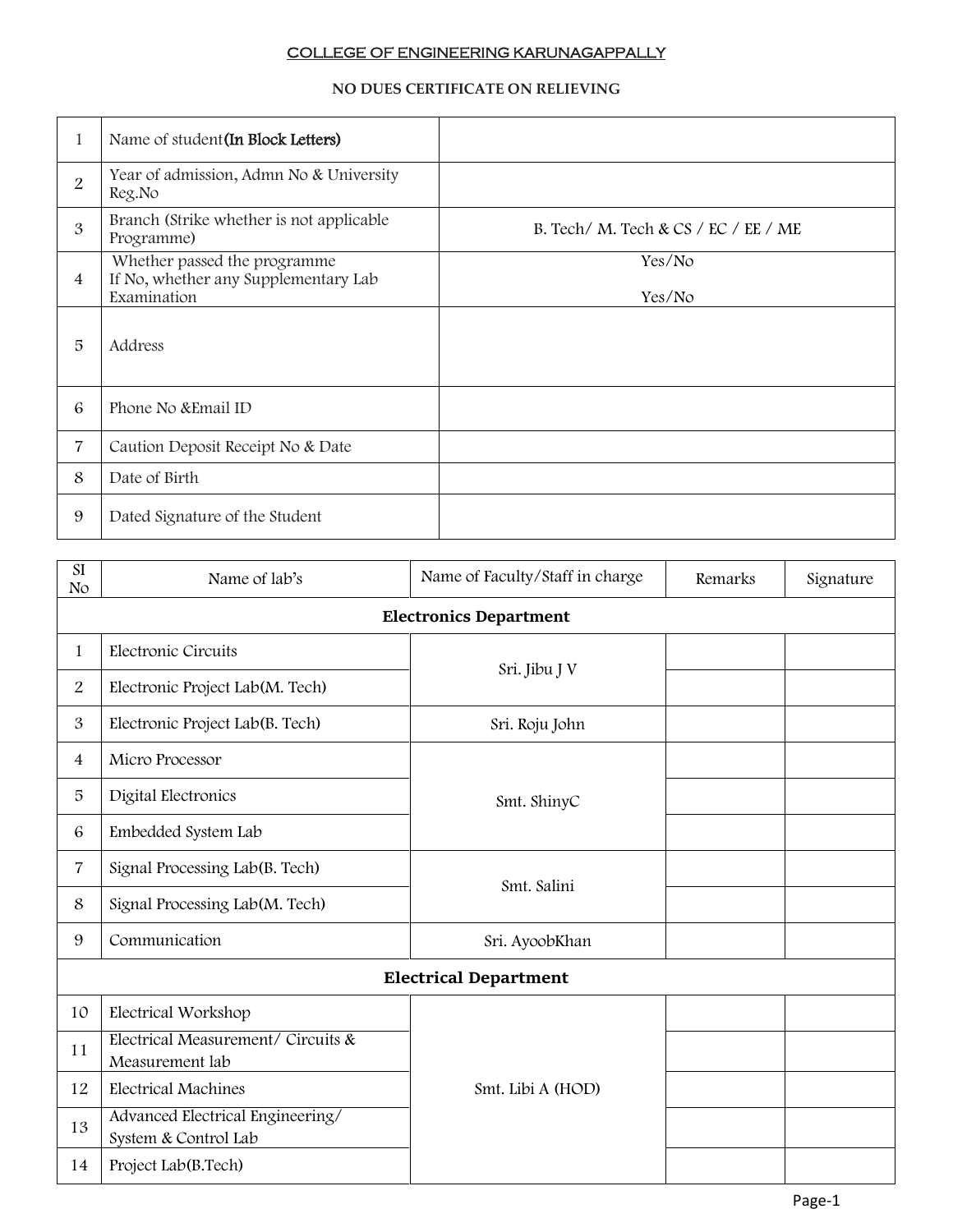## COLLEGE OF ENGINEERING KARUNAGAPPALLY

## **NO DUES CERTIFICATE ON RELIEVING**

| 1              | Name of student (In Block Letters)                                                  |                                      |
|----------------|-------------------------------------------------------------------------------------|--------------------------------------|
| $\overline{2}$ | Year of admission, Admn No & University<br>Reg.No                                   |                                      |
| 3              | Branch (Strike whether is not applicable<br>Programme)                              | B. Tech/ M. Tech & CS / EC / EE / ME |
| $\overline{4}$ | Whether passed the programme<br>If No, whether any Supplementary Lab<br>Examination | Yes/No<br>Yes/No                     |
| 5              | Address                                                                             |                                      |
| 6              | Phone No & Email ID                                                                 |                                      |
| $\overline{7}$ | Caution Deposit Receipt No & Date                                                   |                                      |
| 8              | Date of Birth                                                                       |                                      |
| 9              | Dated Signature of the Student                                                      |                                      |

| SI<br>No                      | Name of lab's                                            | Name of Faculty/Staff in charge | Remarks | Signature |  |
|-------------------------------|----------------------------------------------------------|---------------------------------|---------|-----------|--|
| <b>Electronics Department</b> |                                                          |                                 |         |           |  |
| 1                             | Electronic Circuits                                      |                                 |         |           |  |
| $\overline{2}$                | Electronic Project Lab(M. Tech)                          | Sri. Jibu J V                   |         |           |  |
| 3                             | Electronic Project Lab(B. Tech)                          | Sri. Roju John                  |         |           |  |
| $\overline{4}$                | Micro Processor                                          | Smt. ShinyC                     |         |           |  |
| 5                             | Digital Electronics                                      |                                 |         |           |  |
| 6                             | Embedded System Lab                                      |                                 |         |           |  |
| 7                             | Signal Processing Lab(B. Tech)                           | Smt. Salini                     |         |           |  |
| 8                             | Signal Processing Lab(M. Tech)                           |                                 |         |           |  |
| 9                             | Communication                                            | Sri. AyoobKhan                  |         |           |  |
| <b>Electrical Department</b>  |                                                          |                                 |         |           |  |
| 10                            | Electrical Workshop                                      | Smt. Libi A (HOD)               |         |           |  |
| 11                            | Electrical Measurement/ Circuits &<br>Measurement lab    |                                 |         |           |  |
| 12                            | <b>Electrical Machines</b>                               |                                 |         |           |  |
| 13                            | Advanced Electrical Engineering/<br>System & Control Lab |                                 |         |           |  |
| 14                            | Project Lab(B.Tech)                                      |                                 |         |           |  |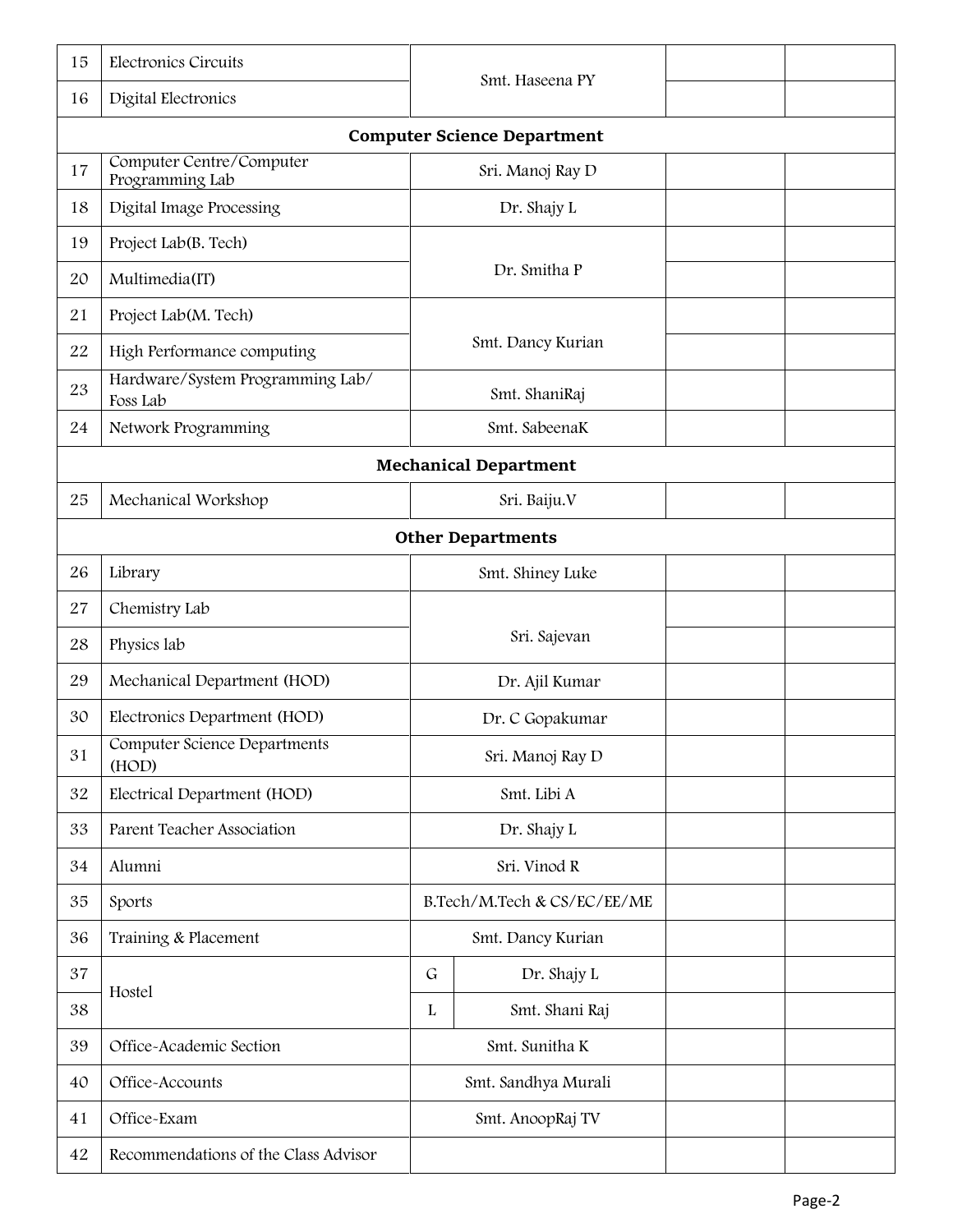| 15 | Electronics Circuits                         | Smt. Haseena PY     |                                    |  |  |
|----|----------------------------------------------|---------------------|------------------------------------|--|--|
| 16 | Digital Electronics                          |                     |                                    |  |  |
|    |                                              |                     | <b>Computer Science Department</b> |  |  |
| 17 | Computer Centre/Computer<br>Programming Lab  |                     | Sri. Manoj Ray D                   |  |  |
| 18 | Digital Image Processing                     |                     | Dr. Shajy L                        |  |  |
| 19 | Project Lab(B. Tech)                         |                     |                                    |  |  |
| 20 | Multimedia(IT)                               |                     | Dr. Smitha P                       |  |  |
| 21 | Project Lab(M. Tech)                         |                     |                                    |  |  |
| 22 | High Performance computing                   |                     | Smt. Dancy Kurian                  |  |  |
| 23 | Hardware/System Programming Lab/<br>Foss Lab |                     | Smt. ShaniRaj                      |  |  |
| 24 | Network Programming                          |                     | Smt. SabeenaK                      |  |  |
|    |                                              |                     | <b>Mechanical Department</b>       |  |  |
| 25 | Mechanical Workshop                          |                     | Sri. Baiju.V                       |  |  |
|    | <b>Other Departments</b>                     |                     |                                    |  |  |
| 26 | Library                                      |                     | Smt. Shiney Luke                   |  |  |
| 27 | Chemistry Lab                                |                     |                                    |  |  |
| 28 | Physics lab                                  |                     | Sri. Sajevan                       |  |  |
| 29 | Mechanical Department (HOD)                  |                     | Dr. Ajil Kumar                     |  |  |
| 30 | Electronics Department (HOD)                 |                     | Dr. C Gopakumar                    |  |  |
| 31 | Computer Science Departments<br>(HOD)        |                     | Sri. Manoj Ray D                   |  |  |
| 32 | Electrical Department (HOD)                  |                     | Smt. Libi A                        |  |  |
| 33 | Parent Teacher Association                   |                     | Dr. Shajy L                        |  |  |
| 34 | Alumni                                       |                     | Sri. Vinod R                       |  |  |
| 35 | Sports                                       |                     | B.Tech/M.Tech & CS/EC/EE/ME        |  |  |
| 36 | Training & Placement                         | Smt. Dancy Kurian   |                                    |  |  |
| 37 |                                              | $\mathsf G$         | Dr. Shajy L                        |  |  |
| 38 | Hostel                                       | L                   | Smt. Shani Raj                     |  |  |
| 39 | Office-Academic Section                      |                     | Smt. Sunitha K                     |  |  |
| 40 | Office-Accounts                              | Smt. Sandhya Murali |                                    |  |  |
| 41 | Office-Exam                                  | Smt. AnoopRaj TV    |                                    |  |  |
| 42 | Recommendations of the Class Advisor         |                     |                                    |  |  |